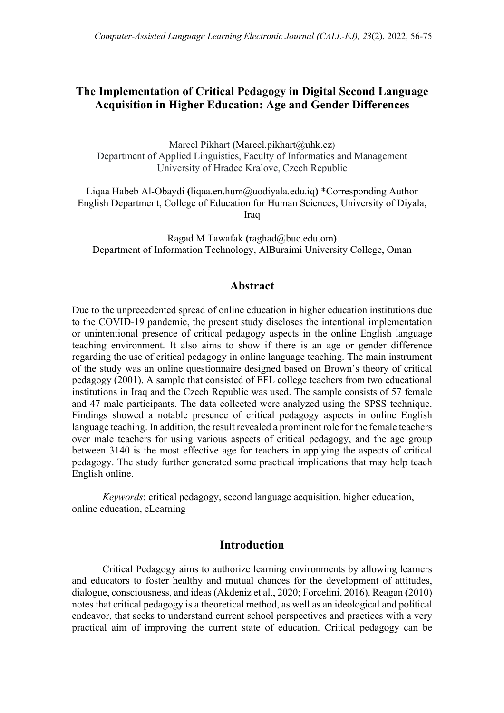# **The Implementation of Critical Pedagogy in Digital Second Language Acquisition in Higher Education: Age and Gender Differences**

Marcel Pikhart **(Marcel.pikhart** *(@uhk.cz)* Department of Applied Linguistics, Faculty of Informatics and Management University of Hradec Kralove, Czech Republic

Liqaa Habeb Al-Obaydi **(**liqaa.en.hum@uodiyala.edu.iq**)** \*Corresponding Author English Department, College of Education for Human Sciences, University of Diyala, Iraq

Ragad M Tawafak **(**raghad@buc.edu.om**)** Department of Information Technology, AlBuraimi University College, Oman

## **Abstract**

Due to the unprecedented spread of online education in higher education institutions due to the COVID-19 pandemic, the present study discloses the intentional implementation or unintentional presence of critical pedagogy aspects in the online English language teaching environment. It also aims to show if there is an age or gender difference regarding the use of critical pedagogy in online language teaching. The main instrument of the study was an online questionnaire designed based on Brown's theory of critical pedagogy (2001). A sample that consisted of EFL college teachers from two educational institutions in Iraq and the Czech Republic was used. The sample consists of 57 female and 47 male participants. The data collected were analyzed using the SPSS technique. Findings showed a notable presence of critical pedagogy aspects in online English language teaching. In addition, the result revealed a prominent role for the female teachers over male teachers for using various aspects of critical pedagogy, and the age group between 3140 is the most effective age for teachers in applying the aspects of critical pedagogy. The study further generated some practical implications that may help teach English online.

*Keywords*: critical pedagogy, second language acquisition, higher education, online education, eLearning

## **Introduction**

Critical Pedagogy aims to authorize learning environments by allowing learners and educators to foster healthy and mutual chances for the development of attitudes, dialogue, consciousness, and ideas (Akdeniz et al., 2020; Forcelini, 2016). Reagan (2010) notes that critical pedagogy is a theoretical method, as well as an ideological and political endeavor, that seeks to understand current school perspectives and practices with a very practical aim of improving the current state of education. Critical pedagogy can be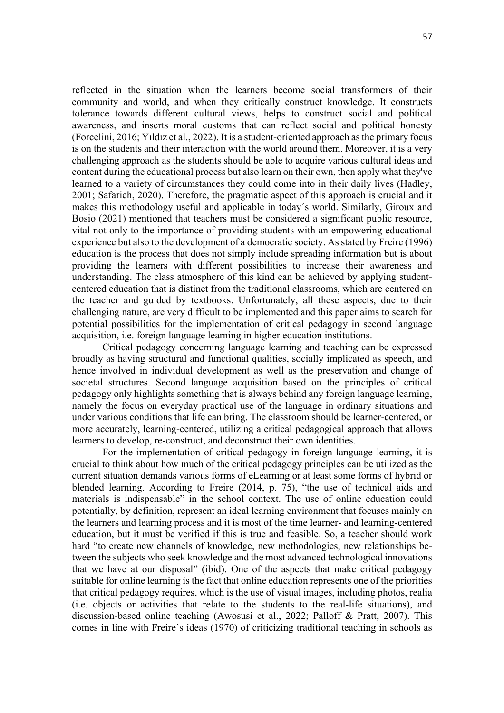reflected in the situation when the learners become social transformers of their community and world, and when they critically construct knowledge. It constructs tolerance towards different cultural views, helps to construct social and political awareness, and inserts moral customs that can reflect social and political honesty (Forcelini, 2016; Yıldız et al., 2022). It is a student-oriented approach as the primary focus is on the students and their interaction with the world around them. Moreover, it is a very challenging approach as the students should be able to acquire various cultural ideas and content during the educational process but also learn on their own, then apply what they've learned to a variety of circumstances they could come into in their daily lives (Hadley, 2001; Safarieh, 2020). Therefore, the pragmatic aspect of this approach is crucial and it makes this methodology useful and applicable in today´s world. Similarly, Giroux and Bosio (2021) mentioned that teachers must be considered a significant public resource, vital not only to the importance of providing students with an empowering educational experience but also to the development of a democratic society. As stated by Freire (1996) education is the process that does not simply include spreading information but is about providing the learners with different possibilities to increase their awareness and understanding. The class atmosphere of this kind can be achieved by applying studentcentered education that is distinct from the traditional classrooms, which are centered on the teacher and guided by textbooks. Unfortunately, all these aspects, due to their challenging nature, are very difficult to be implemented and this paper aims to search for potential possibilities for the implementation of critical pedagogy in second language acquisition, i.e. foreign language learning in higher education institutions.

Critical pedagogy concerning language learning and teaching can be expressed broadly as having structural and functional qualities, socially implicated as speech, and hence involved in individual development as well as the preservation and change of societal structures. Second language acquisition based on the principles of critical pedagogy only highlights something that is always behind any foreign language learning, namely the focus on everyday practical use of the language in ordinary situations and under various conditions that life can bring. The classroom should be learner-centered, or more accurately, learning-centered, utilizing a critical pedagogical approach that allows learners to develop, re-construct, and deconstruct their own identities.

For the implementation of critical pedagogy in foreign language learning, it is crucial to think about how much of the critical pedagogy principles can be utilized as the current situation demands various forms of eLearning or at least some forms of hybrid or blended learning. According to Freire (2014, p. 75), "the use of technical aids and materials is indispensable" in the school context. The use of online education could potentially, by definition, represent an ideal learning environment that focuses mainly on the learners and learning process and it is most of the time learner- and learning-centered education, but it must be verified if this is true and feasible. So, a teacher should work hard "to create new channels of knowledge, new methodologies, new relationships between the subjects who seek knowledge and the most advanced technological innovations that we have at our disposal" (ibid). One of the aspects that make critical pedagogy suitable for online learning is the fact that online education represents one of the priorities that critical pedagogy requires, which is the use of visual images, including photos, realia (i.e. objects or activities that relate to the students to the real-life situations), and discussion-based online teaching (Awosusi et al., 2022; Palloff & Pratt, 2007). This comes in line with Freire's ideas (1970) of criticizing traditional teaching in schools as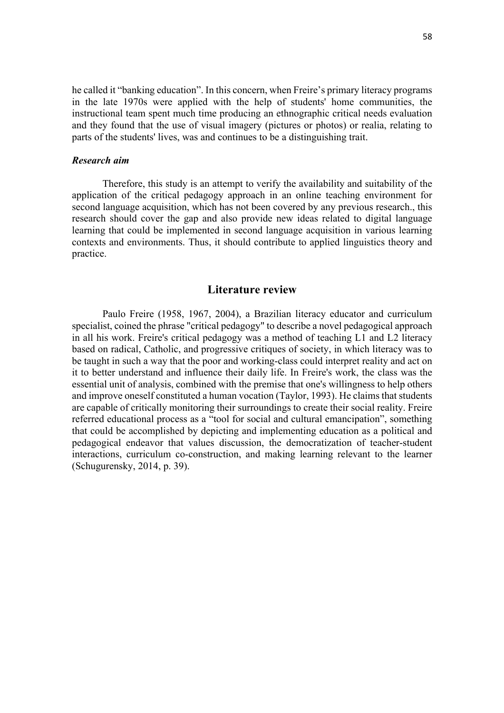he called it "banking education". In this concern, when Freire's primary literacy programs in the late 1970s were applied with the help of students' home communities, the instructional team spent much time producing an ethnographic critical needs evaluation and they found that the use of visual imagery (pictures or photos) or realia, relating to parts of the students' lives, was and continues to be a distinguishing trait.

#### *Research aim*

Therefore, this study is an attempt to verify the availability and suitability of the application of the critical pedagogy approach in an online teaching environment for second language acquisition, which has not been covered by any previous research., this research should cover the gap and also provide new ideas related to digital language learning that could be implemented in second language acquisition in various learning contexts and environments. Thus, it should contribute to applied linguistics theory and practice.

#### **Literature review**

Paulo Freire (1958, 1967, 2004), a Brazilian literacy educator and curriculum specialist, coined the phrase "critical pedagogy" to describe a novel pedagogical approach in all his work. Freire's critical pedagogy was a method of teaching L1 and L2 literacy based on radical, Catholic, and progressive critiques of society, in which literacy was to be taught in such a way that the poor and working-class could interpret reality and act on it to better understand and influence their daily life. In Freire's work, the class was the essential unit of analysis, combined with the premise that one's willingness to help others and improve oneself constituted a human vocation (Taylor, 1993). He claims that students are capable of critically monitoring their surroundings to create their social reality. Freire referred educational process as a "tool for social and cultural emancipation", something that could be accomplished by depicting and implementing education as a political and pedagogical endeavor that values discussion, the democratization of teacher-student interactions, curriculum co-construction, and making learning relevant to the learner (Schugurensky, 2014, p. 39).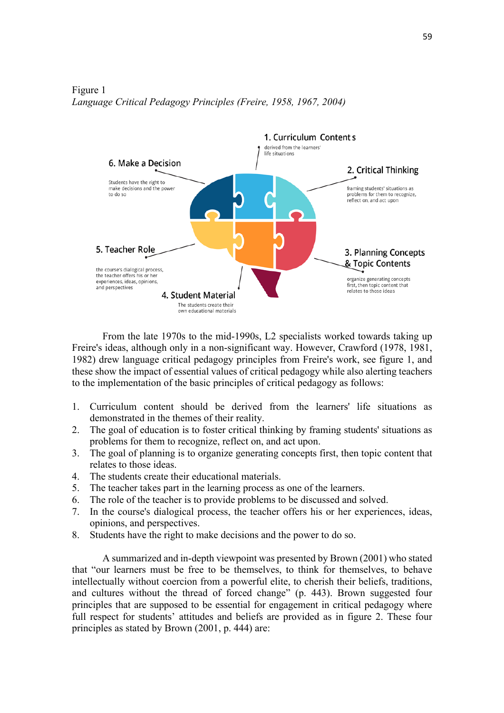Figure 1 *Language Critical Pedagogy Principles (Freire, 1958, 1967, 2004)*



From the late 1970s to the mid-1990s, L2 specialists worked towards taking up Freire's ideas, although only in a non-significant way. However, Crawford (1978, 1981, 1982) drew language critical pedagogy principles from Freire's work, see figure 1, and these show the impact of essential values of critical pedagogy while also alerting teachers to the implementation of the basic principles of critical pedagogy as follows:

- 1. Curriculum content should be derived from the learners' life situations as demonstrated in the themes of their reality.
- 2. The goal of education is to foster critical thinking by framing students' situations as problems for them to recognize, reflect on, and act upon.
- 3. The goal of planning is to organize generating concepts first, then topic content that relates to those ideas.
- 4. The students create their educational materials.
- 5. The teacher takes part in the learning process as one of the learners.
- 6. The role of the teacher is to provide problems to be discussed and solved.
- 7. In the course's dialogical process, the teacher offers his or her experiences, ideas, opinions, and perspectives.
- 8. Students have the right to make decisions and the power to do so.

A summarized and in-depth viewpoint was presented by Brown (2001) who stated that "our learners must be free to be themselves, to think for themselves, to behave intellectually without coercion from a powerful elite, to cherish their beliefs, traditions, and cultures without the thread of forced change" (p. 443). Brown suggested four principles that are supposed to be essential for engagement in critical pedagogy where full respect for students' attitudes and beliefs are provided as in figure 2. These four principles as stated by Brown (2001, p. 444) are: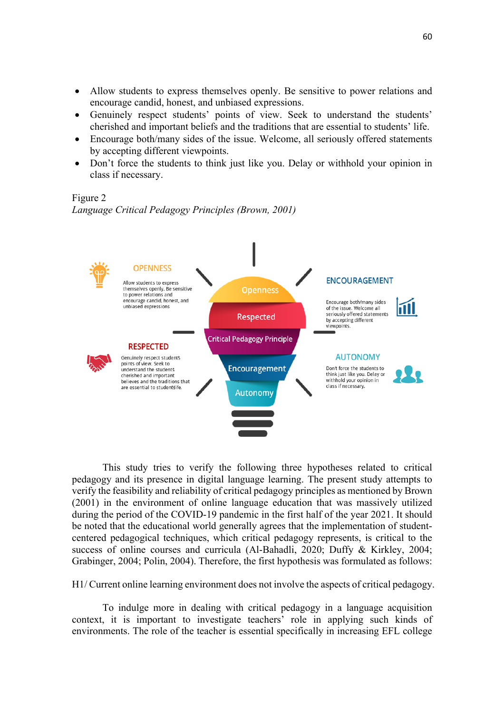- Allow students to express themselves openly. Be sensitive to power relations and encourage candid, honest, and unbiased expressions.
- Genuinely respect students' points of view. Seek to understand the students' cherished and important beliefs and the traditions that are essential to students' life.
- Encourage both/many sides of the issue. Welcome, all seriously offered statements by accepting different viewpoints.
- Don't force the students to think just like you. Delay or withhold your opinion in class if necessary.

Figure 2

*Language Critical Pedagogy Principles (Brown, 2001)*



This study tries to verify the following three hypotheses related to critical pedagogy and its presence in digital language learning. The present study attempts to verify the feasibility and reliability of critical pedagogy principles as mentioned by Brown (2001) in the environment of online language education that was massively utilized during the period of the COVID-19 pandemic in the first half of the year 2021. It should be noted that the educational world generally agrees that the implementation of studentcentered pedagogical techniques, which critical pedagogy represents, is critical to the success of online courses and curricula (Al-Bahadli, 2020; Duffy & Kirkley, 2004; Grabinger, 2004; Polin, 2004). Therefore, the first hypothesis was formulated as follows:

H1/ Current online learning environment does not involve the aspects of critical pedagogy.

To indulge more in dealing with critical pedagogy in a language acquisition context, it is important to investigate teachers' role in applying such kinds of environments. The role of the teacher is essential specifically in increasing EFL college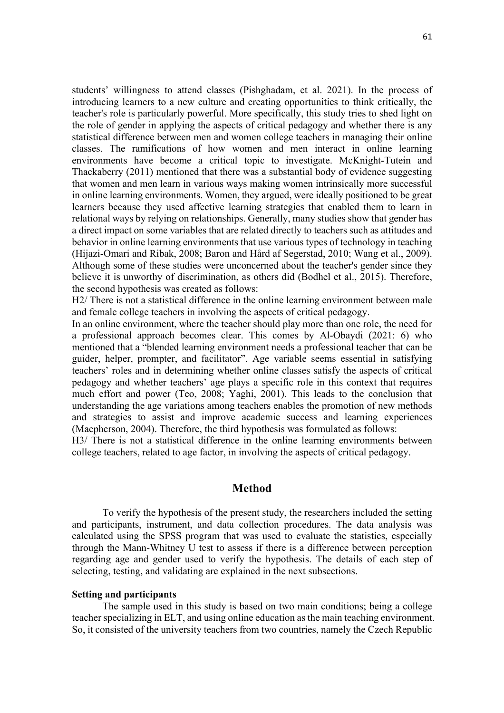students' willingness to attend classes (Pishghadam, et al. 2021). In the process of introducing learners to a new culture and creating opportunities to think critically, the teacher's role is particularly powerful. More specifically, this study tries to shed light on the role of gender in applying the aspects of critical pedagogy and whether there is any statistical difference between men and women college teachers in managing their online classes. The ramifications of how women and men interact in online learning environments have become a critical topic to investigate. McKnight-Tutein and Thackaberry (2011) mentioned that there was a substantial body of evidence suggesting that women and men learn in various ways making women intrinsically more successful in online learning environments. Women, they argued, were ideally positioned to be great learners because they used affective learning strategies that enabled them to learn in relational ways by relying on relationships. Generally, many studies show that gender has a direct impact on some variables that are related directly to teachers such as attitudes and behavior in online learning environments that use various types of technology in teaching (Hijazi-Omari and Ribak, 2008; Baron and Hård af Segerstad, 2010; Wang et al., 2009). Although some of these studies were unconcerned about the teacher's gender since they believe it is unworthy of discrimination, as others did (Bodhel et al., 2015). Therefore, the second hypothesis was created as follows:

H2/ There is not a statistical difference in the online learning environment between male and female college teachers in involving the aspects of critical pedagogy.

In an online environment, where the teacher should play more than one role, the need for a professional approach becomes clear. This comes by Al-Obaydi (2021: 6) who mentioned that a "blended learning environment needs a professional teacher that can be guider, helper, prompter, and facilitator". Age variable seems essential in satisfying teachers' roles and in determining whether online classes satisfy the aspects of critical pedagogy and whether teachers' age plays a specific role in this context that requires much effort and power (Teo, 2008; Yaghi, 2001). This leads to the conclusion that understanding the age variations among teachers enables the promotion of new methods and strategies to assist and improve academic success and learning experiences (Macpherson, 2004). Therefore, the third hypothesis was formulated as follows:

H3/ There is not a statistical difference in the online learning environments between college teachers, related to age factor, in involving the aspects of critical pedagogy.

#### **Method**

To verify the hypothesis of the present study, the researchers included the setting and participants, instrument, and data collection procedures. The data analysis was calculated using the SPSS program that was used to evaluate the statistics, especially through the Mann-Whitney U test to assess if there is a difference between perception regarding age and gender used to verify the hypothesis. The details of each step of selecting, testing, and validating are explained in the next subsections.

#### **Setting and participants**

The sample used in this study is based on two main conditions; being a college teacher specializing in ELT, and using online education as the main teaching environment. So, it consisted of the university teachers from two countries, namely the Czech Republic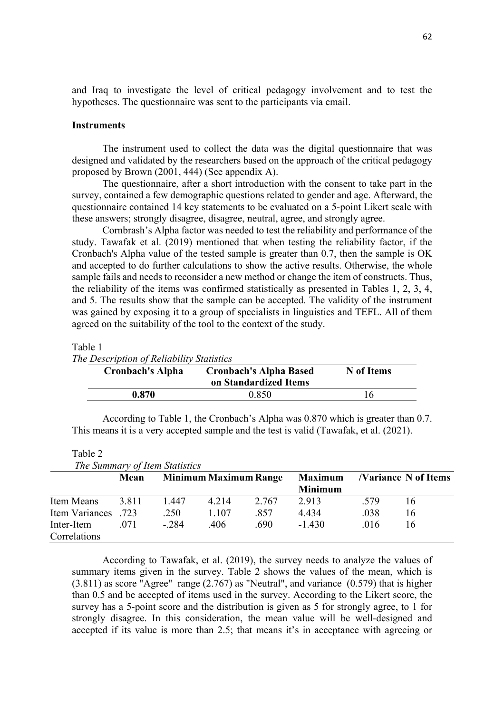and Iraq to investigate the level of critical pedagogy involvement and to test the hypotheses. The questionnaire was sent to the participants via email.

#### **Instruments**

The instrument used to collect the data was the digital questionnaire that was designed and validated by the researchers based on the approach of the critical pedagogy proposed by Brown (2001, 444) (See appendix A).

The questionnaire, after a short introduction with the consent to take part in the survey, contained a few demographic questions related to gender and age. Afterward, the questionnaire contained 14 key statements to be evaluated on a 5-point Likert scale with these answers; strongly disagree, disagree, neutral, agree, and strongly agree.

Cornbrash's Alpha factor was needed to test the reliability and performance of the study. Tawafak et al. (2019) mentioned that when testing the reliability factor, if the Cronbach's Alpha value of the tested sample is greater than 0.7, then the sample is OK and accepted to do further calculations to show the active results. Otherwise, the whole sample fails and needs to reconsider a new method or change the item of constructs. Thus, the reliability of the items was confirmed statistically as presented in Tables 1, 2, 3, 4, and 5. The results show that the sample can be accepted. The validity of the instrument was gained by exposing it to a group of specialists in linguistics and TEFL. All of them agreed on the suitability of the tool to the context of the study.

#### Table 1

Table 2

|  |  |  | The Description of Reliability Statistics |
|--|--|--|-------------------------------------------|
|  |  |  |                                           |

| <b>Cronbach's Alpha</b> | <b>Cronbach's Alpha Based</b><br>on Standardized Items | N of Items |
|-------------------------|--------------------------------------------------------|------------|
| 0.870                   | 0.850                                                  | 16         |

According to Table 1, the Cronbach's Alpha was 0.870 which is greater than 0.7. This means it is a very accepted sample and the test is valid (Tawafak, et al. (2021).

| The Summary of Item Statistics |       |         |                              |       |                                  |      |                                   |  |
|--------------------------------|-------|---------|------------------------------|-------|----------------------------------|------|-----------------------------------|--|
|                                | Mean  |         | <b>Minimum Maximum Range</b> |       | <b>Maximum</b><br><b>Minimum</b> |      | <b><i>Nariance N of Items</i></b> |  |
| Item Means                     | 3.811 | 1.447   | 4.214                        | 2.767 | 2.913                            | .579 | 16                                |  |
| Item Variances                 | -723  | .250    | 1.107                        | .857  | 4.434                            | .038 | 16                                |  |
| Inter-Item<br>Correlations     | .071  | $-.284$ | .406                         | .690  | $-1.430$                         | .016 | 16                                |  |

According to Tawafak, et al. (2019), the survey needs to analyze the values of summary items given in the survey. Table 2 shows the values of the mean, which is (3.811) as score "Agree" range (2.767) as "Neutral", and variance (0.579) that is higher than 0.5 and be accepted of items used in the survey. According to the Likert score, the survey has a 5-point score and the distribution is given as 5 for strongly agree, to 1 for strongly disagree. In this consideration, the mean value will be well-designed and accepted if its value is more than 2.5; that means it's in acceptance with agreeing or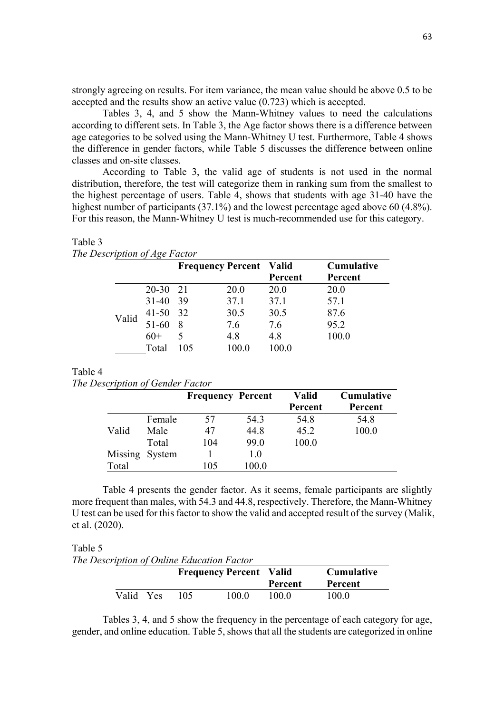strongly agreeing on results. For item variance, the mean value should be above 0.5 to be accepted and the results show an active value (0.723) which is accepted.

Tables 3, 4, and 5 show the Mann-Whitney values to need the calculations according to different sets. In Table 3, the Age factor shows there is a difference between age categories to be solved using the Mann-Whitney U test. Furthermore, Table 4 shows the difference in gender factors, while Table 5 discusses the difference between online classes and on-site classes.

According to Table 3, the valid age of students is not used in the normal distribution, therefore, the test will categorize them in ranking sum from the smallest to the highest percentage of users. Table 4, shows that students with age 31-40 have the highest number of participants (37.1%) and the lowest percentage aged above 60 (4.8%). For this reason, the Mann-Whitney U test is much-recommended use for this category.

|       |            | <b>Frequency Percent Valid</b> |       |         | <b>Cumulative</b> |
|-------|------------|--------------------------------|-------|---------|-------------------|
|       |            |                                |       | Percent | Percent           |
|       | $20 - 30$  | - 21                           | 20.0  | 20.0    | 20.0              |
|       | $31 - 40$  | -39                            | 37.1  | 37.1    | 57.1              |
|       | $41-50$ 32 |                                | 30.5  | 30.5    | 87.6              |
| Valid | 51-60      | 8                              | 7.6   | 7.6     | 95.2              |
|       | $60+$      | 5                              | 4.8   | 4.8     | 100.0             |
|       | Total      | 105                            | 100.0 | 100.0   |                   |

| rabie b                       |  |
|-------------------------------|--|
| The Description of Age Factor |  |

 $T<sub>11</sub>$ 

## Table 4

*The Description of Gender Factor*

|                |        | <b>Frequency Percent</b> |       | <b>Valid</b> | <b>Cumulative</b> |
|----------------|--------|--------------------------|-------|--------------|-------------------|
|                |        |                          |       | Percent      | Percent           |
|                | Female | 57                       | 54.3  | 54.8         | 54.8              |
| Valid          | Male   | 47                       | 44.8  | 45.2         | 100.0             |
|                | Total  | 104                      | 99.0  | 100.0        |                   |
| Missing System |        |                          | 1.0   |              |                   |
| Total          |        | 105                      | 100.0 |              |                   |

Table 4 presents the gender factor. As it seems, female participants are slightly more frequent than males, with 54.3 and 44.8, respectively. Therefore, the Mann-Whitney U test can be used for this factor to show the valid and accepted result of the survey (Malik, et al. (2020).

#### Table 5

*The Description of Online Education Factor*

|       |      | <b>Frequency Percent Valid</b> |       | Percent | <b>Cumulative</b><br>Percent |
|-------|------|--------------------------------|-------|---------|------------------------------|
| Valid | Yes. | 105.                           | 100.0 | 100.0   | 100.0                        |

Tables 3, 4, and 5 show the frequency in the percentage of each category for age, gender, and online education. Table 5, shows that all the students are categorized in online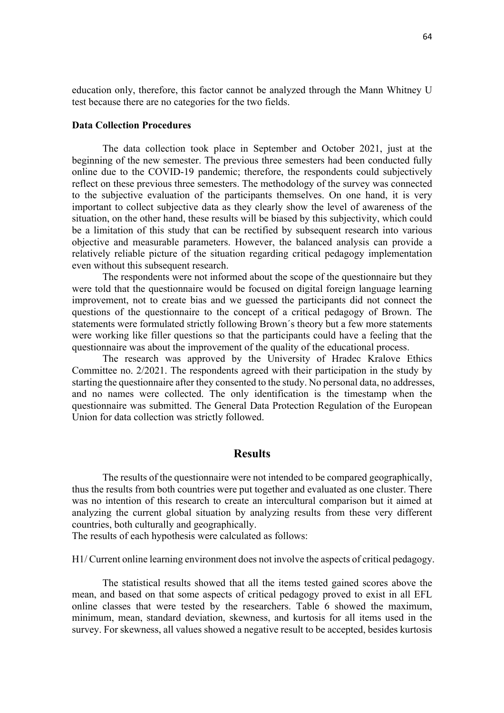education only, therefore, this factor cannot be analyzed through the Mann Whitney U test because there are no categories for the two fields.

### **Data Collection Procedures**

The data collection took place in September and October 2021, just at the beginning of the new semester. The previous three semesters had been conducted fully online due to the COVID-19 pandemic; therefore, the respondents could subjectively reflect on these previous three semesters. The methodology of the survey was connected to the subjective evaluation of the participants themselves. On one hand, it is very important to collect subjective data as they clearly show the level of awareness of the situation, on the other hand, these results will be biased by this subjectivity, which could be a limitation of this study that can be rectified by subsequent research into various objective and measurable parameters. However, the balanced analysis can provide a relatively reliable picture of the situation regarding critical pedagogy implementation even without this subsequent research.

The respondents were not informed about the scope of the questionnaire but they were told that the questionnaire would be focused on digital foreign language learning improvement, not to create bias and we guessed the participants did not connect the questions of the questionnaire to the concept of a critical pedagogy of Brown. The statements were formulated strictly following Brown´s theory but a few more statements were working like filler questions so that the participants could have a feeling that the questionnaire was about the improvement of the quality of the educational process.

The research was approved by the University of Hradec Kralove Ethics Committee no. 2/2021. The respondents agreed with their participation in the study by starting the questionnaire after they consented to the study. No personal data, no addresses, and no names were collected. The only identification is the timestamp when the questionnaire was submitted. The General Data Protection Regulation of the European Union for data collection was strictly followed.

## **Results**

The results of the questionnaire were not intended to be compared geographically, thus the results from both countries were put together and evaluated as one cluster. There was no intention of this research to create an intercultural comparison but it aimed at analyzing the current global situation by analyzing results from these very different countries, both culturally and geographically.

The results of each hypothesis were calculated as follows:

H1/ Current online learning environment does not involve the aspects of critical pedagogy.

The statistical results showed that all the items tested gained scores above the mean, and based on that some aspects of critical pedagogy proved to exist in all EFL online classes that were tested by the researchers. Table 6 showed the maximum, minimum, mean, standard deviation, skewness, and kurtosis for all items used in the survey. For skewness, all values showed a negative result to be accepted, besides kurtosis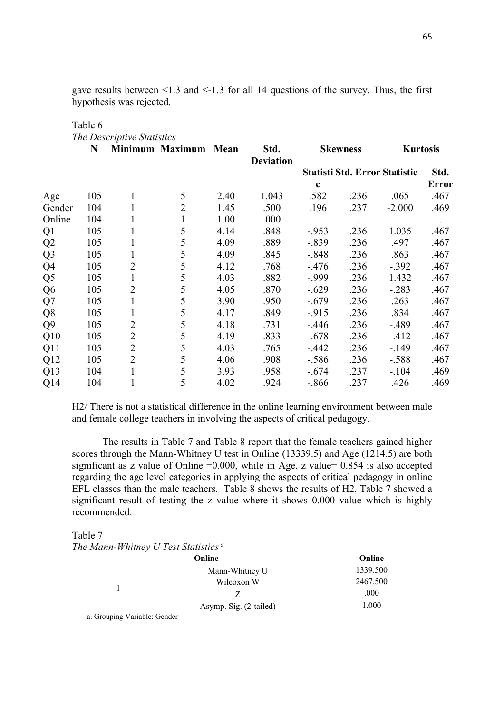|                | The Descriptive Statistics |                |                        |      |                          |                 |      |                                      |              |  |
|----------------|----------------------------|----------------|------------------------|------|--------------------------|-----------------|------|--------------------------------------|--------------|--|
|                | N                          |                | <b>Minimum Maximum</b> | Mean | Std.<br><b>Deviation</b> | <b>Skewness</b> |      | <b>Kurtosis</b>                      |              |  |
|                |                            |                |                        |      |                          |                 |      | <b>Statisti Std. Error Statistic</b> | Std.         |  |
|                |                            |                |                        |      |                          | $\mathbf c$     |      |                                      | <b>Error</b> |  |
| Age            | 105                        |                | 5                      | 2.40 | 1.043                    | .582            | .236 | .065                                 | .467         |  |
| Gender         | 104                        |                | 2                      | 1.45 | .500                     | .196            | .237 | $-2.000$                             | .469         |  |
| Online         | 104                        | 1              | 1                      | 1.00 | .000                     |                 |      |                                      |              |  |
| Q <sub>1</sub> | 105                        | 1              | 5                      | 4.14 | .848                     | $-.953$         | .236 | 1.035                                | .467         |  |
| Q2             | 105                        | 1              | 5                      | 4.09 | .889                     | $-.839$         | .236 | .497                                 | .467         |  |
| Q <sub>3</sub> | 105                        | 1              | 5                      | 4.09 | .845                     | $-.848$         | .236 | .863                                 | .467         |  |
| Q4             | 105                        | 2              | 5                      | 4.12 | .768                     | $-476$          | .236 | $-.392$                              | .467         |  |
| Q <sub>5</sub> | 105                        | 1              | 5                      | 4.03 | .882                     | -.999           | .236 | 1.432                                | .467         |  |
| Q <sub>6</sub> | 105                        | 2              | 5                      | 4.05 | .870                     | $-.629$         | .236 | $-.283$                              | .467         |  |
| Q7             | 105                        | 1              | 5                      | 3.90 | .950                     | $-.679$         | .236 | .263                                 | .467         |  |
| Q <sub>8</sub> | 105                        | 1              | 5                      | 4.17 | .849                     | $-.915$         | .236 | .834                                 | .467         |  |
| Q <sub>9</sub> | 105                        | 2              | 5                      | 4.18 | .731                     | $-.446$         | .236 | $-.489$                              | .467         |  |
| Q10            | 105                        | $\overline{2}$ | 5                      | 4.19 | .833                     | $-.678$         | .236 | $-412$                               | .467         |  |
| Q11            | 105                        | $\overline{2}$ | 5                      | 4.03 | .765                     | $-.442$         | .236 | $-149$                               | .467         |  |
| Q12            | 105                        | $\overline{2}$ | 5                      | 4.06 | .908                     | $-.586$         | .236 | $-.588$                              | .467         |  |
| Q13            | 104                        | 1              | 5                      | 3.93 | .958                     | $-.674$         | .237 | $-.104$                              | .469         |  |
| Q14            | 104                        | 1              | 5                      | 4.02 | .924                     | $-.866$         | .237 | .426                                 | .469         |  |

gave results between <1.3 and <-1.3 for all 14 questions of the survey. Thus, the first hypothesis was rejected.

H2/ There is not a statistical difference in the online learning environment between male and female college teachers in involving the aspects of critical pedagogy.

The results in Table 7 and Table 8 report that the female teachers gained higher scores through the Mann-Whitney U test in Online (13339.5) and Age (1214.5) are both significant as z value of Online  $=0.000$ , while in Age, z value $= 0.854$  is also accepted regarding the age level categories in applying the aspects of critical pedagogy in online EFL classes than the male teachers. Table 8 shows the results of H2. Table 7 showed a significant result of testing the z value where it shows 0.000 value which is highly recommended.

Table 7 *The Mann-Whitney U Test Statistics <sup>a</sup>*

|                                 | Online                 | Online   |
|---------------------------------|------------------------|----------|
|                                 | Mann-Whitney U         | 1339.500 |
|                                 | Wilcoxon W             | 2467.500 |
|                                 |                        | .000     |
|                                 | Asymp. Sig. (2-tailed) | 1.000    |
| --------<br>$\blacksquare$<br>- |                        |          |

a. Grouping Variable: Gender

Table 6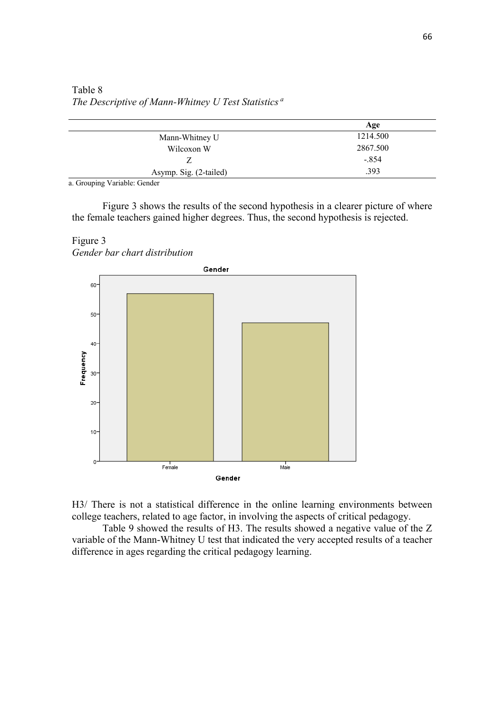Table 8 *The Descriptive of Mann-Whitney U Test Statistics <sup>a</sup>*

|                                                                                                                                                                                                                                                                                                                                              | Age      |
|----------------------------------------------------------------------------------------------------------------------------------------------------------------------------------------------------------------------------------------------------------------------------------------------------------------------------------------------|----------|
| Mann-Whitney U                                                                                                                                                                                                                                                                                                                               | 1214.500 |
| Wilcoxon W                                                                                                                                                                                                                                                                                                                                   | 2867.500 |
|                                                                                                                                                                                                                                                                                                                                              | $-.854$  |
| Asymp. Sig. (2-tailed)                                                                                                                                                                                                                                                                                                                       | .393     |
| $\mathbf{v}$ $\mathbf{v}$ $\mathbf{v}$ $\mathbf{v}$ $\mathbf{v}$ $\mathbf{v}$ $\mathbf{v}$ $\mathbf{v}$ $\mathbf{v}$ $\mathbf{v}$ $\mathbf{v}$ $\mathbf{v}$ $\mathbf{v}$ $\mathbf{v}$ $\mathbf{v}$ $\mathbf{v}$ $\mathbf{v}$ $\mathbf{v}$ $\mathbf{v}$ $\mathbf{v}$ $\mathbf{v}$ $\mathbf{v}$ $\mathbf{v}$ $\mathbf{v}$ $\mathbf{$<br>$\sim$ |          |

a. Grouping Variable: Gender

Figure 3 shows the results of the second hypothesis in a clearer picture of where the female teachers gained higher degrees. Thus, the second hypothesis is rejected.

#### Figure 3 *Gender bar chart distribution*



H3/ There is not a statistical difference in the online learning environments between college teachers, related to age factor, in involving the aspects of critical pedagogy.

Table 9 showed the results of H3. The results showed a negative value of the Z variable of the Mann-Whitney U test that indicated the very accepted results of a teacher difference in ages regarding the critical pedagogy learning.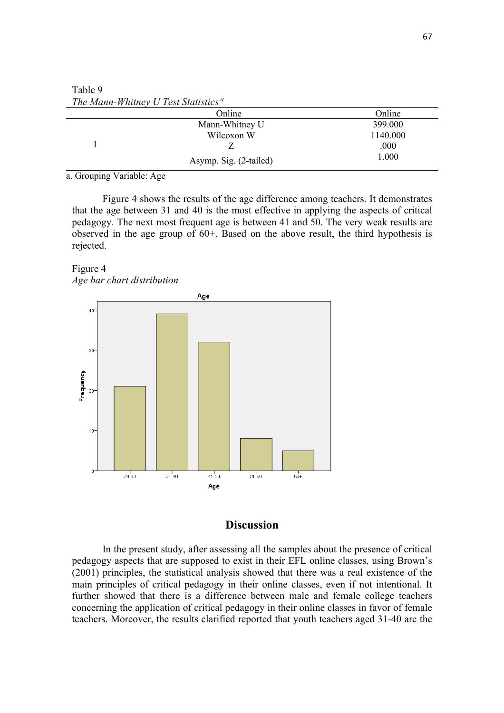| Online                 | Online   |
|------------------------|----------|
| Mann-Whitney U         | 399.000  |
| Wilcoxon W             | 1140.000 |
|                        | .000     |
| Asymp. Sig. (2-tailed) | 1.000    |

Table 9 *The Mann-Whitney U Test Statistics <sup>a</sup>*

a. Grouping Variable: Age

Figure 4 shows the results of the age difference among teachers. It demonstrates that the age between 31 and 40 is the most effective in applying the aspects of critical pedagogy. The next most frequent age is between 41 and 50. The very weak results are observed in the age group of 60+. Based on the above result, the third hypothesis is rejected.

## Figure 4 *Age bar chart distribution*



# **Discussion**

In the present study, after assessing all the samples about the presence of critical pedagogy aspects that are supposed to exist in their EFL online classes, using Brown's (2001) principles, the statistical analysis showed that there was a real existence of the main principles of critical pedagogy in their online classes, even if not intentional. It further showed that there is a difference between male and female college teachers concerning the application of critical pedagogy in their online classes in favor of female teachers. Moreover, the results clarified reported that youth teachers aged 31-40 are the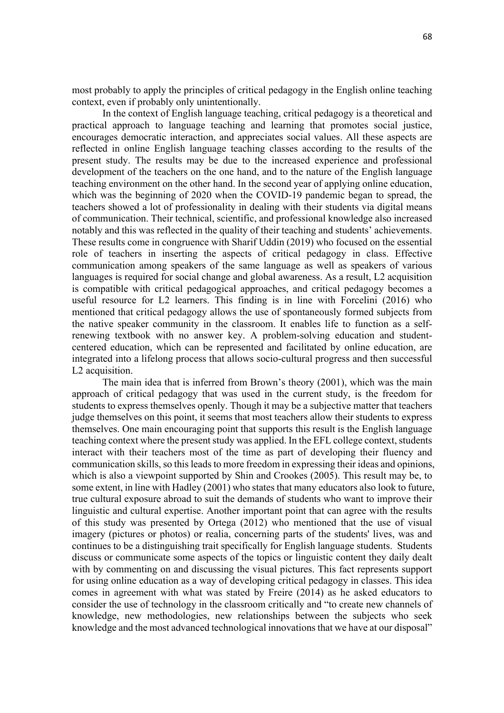most probably to apply the principles of critical pedagogy in the English online teaching context, even if probably only unintentionally.

In the context of English language teaching, critical pedagogy is a theoretical and practical approach to language teaching and learning that promotes social justice, encourages democratic interaction, and appreciates social values. All these aspects are reflected in online English language teaching classes according to the results of the present study. The results may be due to the increased experience and professional development of the teachers on the one hand, and to the nature of the English language teaching environment on the other hand. In the second year of applying online education, which was the beginning of 2020 when the COVID-19 pandemic began to spread, the teachers showed a lot of professionality in dealing with their students via digital means of communication. Their technical, scientific, and professional knowledge also increased notably and this was reflected in the quality of their teaching and students' achievements. These results come in congruence with Sharif Uddin (2019) who focused on the essential role of teachers in inserting the aspects of critical pedagogy in class. Effective communication among speakers of the same language as well as speakers of various languages is required for social change and global awareness. As a result, L2 acquisition is compatible with critical pedagogical approaches, and critical pedagogy becomes a useful resource for L2 learners. This finding is in line with Forcelini (2016) who mentioned that critical pedagogy allows the use of spontaneously formed subjects from the native speaker community in the classroom. It enables life to function as a selfrenewing textbook with no answer key. A problem-solving education and studentcentered education, which can be represented and facilitated by online education, are integrated into a lifelong process that allows socio-cultural progress and then successful L<sub>2</sub> acquisition.

The main idea that is inferred from Brown's theory (2001), which was the main approach of critical pedagogy that was used in the current study, is the freedom for students to express themselves openly. Though it may be a subjective matter that teachers judge themselves on this point, it seems that most teachers allow their students to express themselves. One main encouraging point that supports this result is the English language teaching context where the present study was applied. In the EFL college context, students interact with their teachers most of the time as part of developing their fluency and communication skills, so this leads to more freedom in expressing their ideas and opinions, which is also a viewpoint supported by Shin and Crookes (2005). This result may be, to some extent, in line with Hadley (2001) who states that many educators also look to future, true cultural exposure abroad to suit the demands of students who want to improve their linguistic and cultural expertise. Another important point that can agree with the results of this study was presented by Ortega (2012) who mentioned that the use of visual imagery (pictures or photos) or realia, concerning parts of the students' lives, was and continues to be a distinguishing trait specifically for English language students. Students discuss or communicate some aspects of the topics or linguistic content they daily dealt with by commenting on and discussing the visual pictures. This fact represents support for using online education as a way of developing critical pedagogy in classes. This idea comes in agreement with what was stated by Freire (2014) as he asked educators to consider the use of technology in the classroom critically and "to create new channels of knowledge, new methodologies, new relationships between the subjects who seek knowledge and the most advanced technological innovations that we have at our disposal"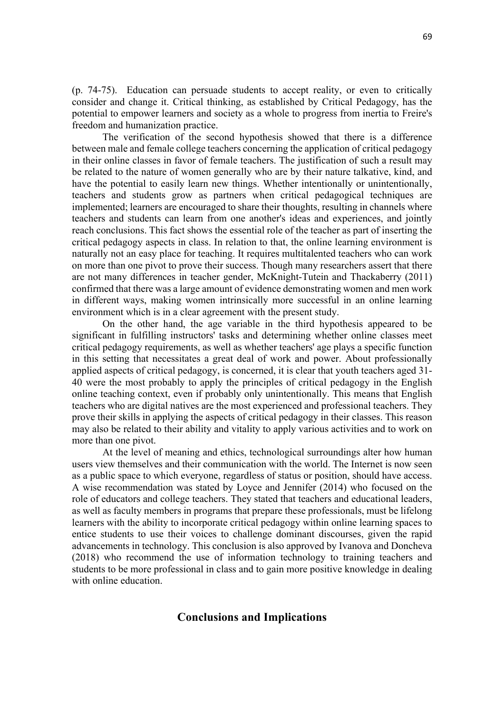(p. 74-75). Education can persuade students to accept reality, or even to critically consider and change it. Critical thinking, as established by Critical Pedagogy, has the potential to empower learners and society as a whole to progress from inertia to Freire's freedom and humanization practice.

The verification of the second hypothesis showed that there is a difference between male and female college teachers concerning the application of critical pedagogy in their online classes in favor of female teachers. The justification of such a result may be related to the nature of women generally who are by their nature talkative, kind, and have the potential to easily learn new things. Whether intentionally or unintentionally, teachers and students grow as partners when critical pedagogical techniques are implemented; learners are encouraged to share their thoughts, resulting in channels where teachers and students can learn from one another's ideas and experiences, and jointly reach conclusions. This fact shows the essential role of the teacher as part of inserting the critical pedagogy aspects in class. In relation to that, the online learning environment is naturally not an easy place for teaching. It requires multitalented teachers who can work on more than one pivot to prove their success. Though many researchers assert that there are not many differences in teacher gender, McKnight-Tutein and Thackaberry (2011) confirmed that there was a large amount of evidence demonstrating women and men work in different ways, making women intrinsically more successful in an online learning environment which is in a clear agreement with the present study.

On the other hand, the age variable in the third hypothesis appeared to be significant in fulfilling instructors' tasks and determining whether online classes meet critical pedagogy requirements, as well as whether teachers' age plays a specific function in this setting that necessitates a great deal of work and power. About professionally applied aspects of critical pedagogy, is concerned, it is clear that youth teachers aged 31- 40 were the most probably to apply the principles of critical pedagogy in the English online teaching context, even if probably only unintentionally. This means that English teachers who are digital natives are the most experienced and professional teachers. They prove their skills in applying the aspects of critical pedagogy in their classes. This reason may also be related to their ability and vitality to apply various activities and to work on more than one pivot.

At the level of meaning and ethics, technological surroundings alter how human users view themselves and their communication with the world. The Internet is now seen as a public space to which everyone, regardless of status or position, should have access. A wise recommendation was stated by Loyce and Jennifer (2014) who focused on the role of educators and college teachers. They stated that teachers and educational leaders, as well as faculty members in programs that prepare these professionals, must be lifelong learners with the ability to incorporate critical pedagogy within online learning spaces to entice students to use their voices to challenge dominant discourses, given the rapid advancements in technology. This conclusion is also approved by Ivanova and Doncheva (2018) who recommend the use of information technology to training teachers and students to be more professional in class and to gain more positive knowledge in dealing with online education.

#### **Conclusions and Implications**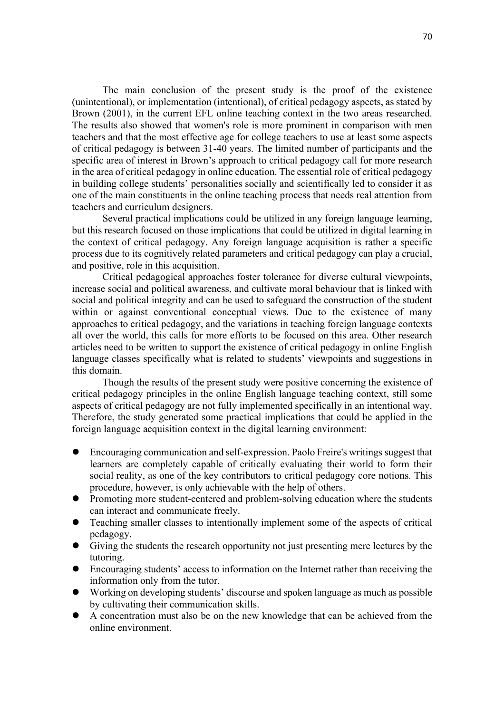The main conclusion of the present study is the proof of the existence (unintentional), or implementation (intentional), of critical pedagogy aspects, as stated by Brown (2001), in the current EFL online teaching context in the two areas researched. The results also showed that women's role is more prominent in comparison with men teachers and that the most effective age for college teachers to use at least some aspects of critical pedagogy is between 31-40 years. The limited number of participants and the specific area of interest in Brown's approach to critical pedagogy call for more research in the area of critical pedagogy in online education. The essential role of critical pedagogy in building college students' personalities socially and scientifically led to consider it as one of the main constituents in the online teaching process that needs real attention from teachers and curriculum designers.

Several practical implications could be utilized in any foreign language learning, but this research focused on those implications that could be utilized in digital learning in the context of critical pedagogy. Any foreign language acquisition is rather a specific process due to its cognitively related parameters and critical pedagogy can play a crucial, and positive, role in this acquisition.

Critical pedagogical approaches foster tolerance for diverse cultural viewpoints, increase social and political awareness, and cultivate moral behaviour that is linked with social and political integrity and can be used to safeguard the construction of the student within or against conventional conceptual views. Due to the existence of many approaches to critical pedagogy, and the variations in teaching foreign language contexts all over the world, this calls for more efforts to be focused on this area. Other research articles need to be written to support the existence of critical pedagogy in online English language classes specifically what is related to students' viewpoints and suggestions in this domain.

Though the results of the present study were positive concerning the existence of critical pedagogy principles in the online English language teaching context, still some aspects of critical pedagogy are not fully implemented specifically in an intentional way. Therefore, the study generated some practical implications that could be applied in the foreign language acquisition context in the digital learning environment:

- l Encouraging communication and self-expression. Paolo Freire's writings suggest that learners are completely capable of critically evaluating their world to form their social reality, as one of the key contributors to critical pedagogy core notions. This procedure, however, is only achievable with the help of others.
- Promoting more student-centered and problem-solving education where the students can interact and communicate freely.
- Teaching smaller classes to intentionally implement some of the aspects of critical pedagogy.
- **•** Giving the students the research opportunity not just presenting mere lectures by the tutoring.
- Encouraging students' access to information on the Internet rather than receiving the information only from the tutor.
- l Working on developing students' discourse and spoken language as much as possible by cultivating their communication skills.
- l A concentration must also be on the new knowledge that can be achieved from the online environment.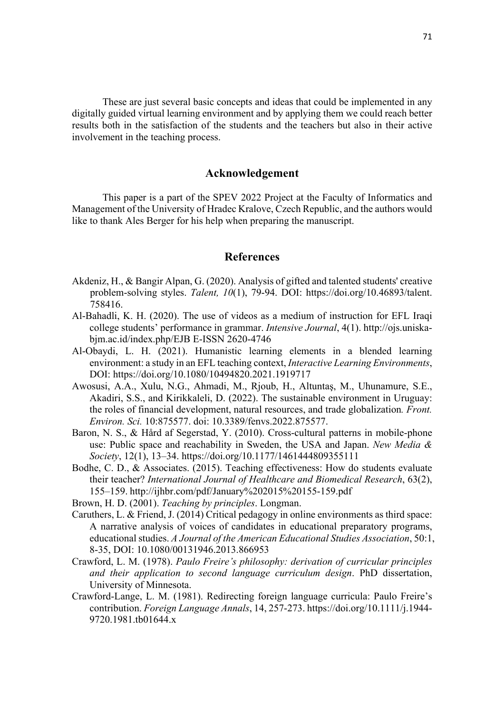These are just several basic concepts and ideas that could be implemented in any digitally guided virtual learning environment and by applying them we could reach better results both in the satisfaction of the students and the teachers but also in their active involvement in the teaching process.

## **Acknowledgement**

This paper is a part of the SPEV 2022 Project at the Faculty of Informatics and Management of the University of Hradec Kralove, Czech Republic, and the authors would like to thank Ales Berger for his help when preparing the manuscript.

#### **References**

- Akdeniz, H., & Bangir Alpan, G. (2020). Analysis of gifted and talented students' creative problem-solving styles. *Talent, 10*(1), 79-94. DOI: https://doi.org/10.46893/talent. 758416.
- Al-Bahadli, K. H. (2020). The use of videos as a medium of instruction for EFL Iraqi college students' performance in grammar. *Intensive Journal*, 4(1). http://ojs.uniskabjm.ac.id/index.php/EJB E-ISSN 2620-4746
- Al-Obaydi, L. H. (2021). Humanistic learning elements in a blended learning environment: a study in an EFL teaching context, *Interactive Learning Environments*, DOI: https://doi.org/10.1080/10494820.2021.1919717
- Awosusi, A.A., Xulu, N.G., Ahmadi, M., Rjoub, H., Altuntaş, M., Uhunamure, S.E., Akadiri, S.S., and Kirikkaleli, D. (2022). The sustainable environment in Uruguay: the roles of financial development, natural resources, and trade globalization*. Front. Environ. Sci.* 10:875577. doi: 10.3389/fenvs.2022.875577.
- Baron, N. S., & Hård af Segerstad, Y. (2010). Cross-cultural patterns in mobile-phone use: Public space and reachability in Sweden, the USA and Japan. *New Media & Society*, 12(1), 13–34. https://doi.org/10.1177/1461444809355111
- Bodhe, C. D., & Associates. (2015). Teaching effectiveness: How do students evaluate their teacher? *International Journal of Healthcare and Biomedical Research*, 63(2), 155–159. http://ijhbr.com/pdf/January%202015%20155-159.pdf
- Brown, H. D. (2001). *Teaching by principles*. Longman.
- Caruthers, L. & Friend, J. (2014) Critical pedagogy in online environments as third space: A narrative analysis of voices of candidates in educational preparatory programs, educational studies. *A Journal of the American Educational Studies Association*, 50:1, 8-35, DOI: 10.1080/00131946.2013.866953
- Crawford, L. M. (1978). *Paulo Freire's philosophy: derivation of curricular principles and their application to second language curriculum design*. PhD dissertation, University of Minnesota.
- Crawford-Lange, L. M. (1981). Redirecting foreign language curricula: Paulo Freire's contribution. *Foreign Language Annals*, 14, 257-273. https://doi.org/10.1111/j.1944- 9720.1981.tb01644.x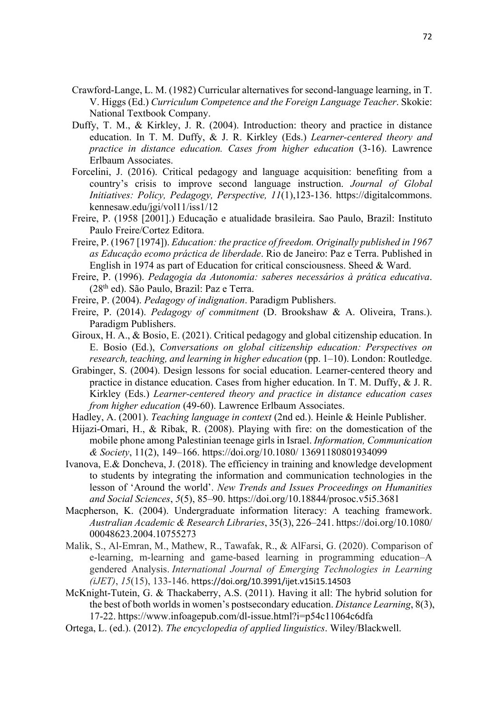- Crawford-Lange, L. M. (1982) Curricular alternatives for second-language learning, in T. V. Higgs (Ed.) *Curriculum Competence and the Foreign Language Teacher*. Skokie: National Textbook Company.
- Duffy, T. M., & Kirkley, J. R. (2004). Introduction: theory and practice in distance education. In T. M. Duffy, & J. R. Kirkley (Eds.) *Learner-centered theory and practice in distance education. Cases from higher education* (3-16). Lawrence Erlbaum Associates.
- Forcelini, J. (2016). Critical pedagogy and language acquisition: benefiting from a country's crisis to improve second language instruction. *Journal of Global Initiatives: Policy, Pedagogy, Perspective, 11*(1),123-136. https://digitalcommons. kennesaw.edu/jgi/vol11/iss1/12
- Freire, P. (1958 [2001].) Educação e atualidade brasileira. Sao Paulo, Brazil: Instituto Paulo Freire/Cortez Editora.
- Freire, P. (1967 [1974]). *Education: the practice of freedom. Originally published in 1967 as Educaçåo ecomo práctica de liberdade*. Rio de Janeiro: Paz e Terra. Published in English in 1974 as part of Education for critical consciousness. Sheed & Ward.
- Freire, P. (1996). *Pedagogia da Autonomia: saberes necessários à prática educativa*. (28th ed). São Paulo, Brazil: Paz e Terra.
- Freire, P. (2004). *Pedagogy of indignation*. Paradigm Publishers.
- Freire, P. (2014). *Pedagogy of commitment* (D. Brookshaw & A. Oliveira, Trans.). Paradigm Publishers.
- Giroux, H. A., & Bosio, E. (2021). Critical pedagogy and global citizenship education. In E. Bosio (Ed.), *Conversations on global citizenship education: Perspectives on research, teaching, and learning in higher education* (pp. 1–10). London: Routledge.
- Grabinger, S. (2004). Design lessons for social education. Learner-centered theory and practice in distance education. Cases from higher education. In T. M. Duffy, & J. R. Kirkley (Eds.) *Learner-centered theory and practice in distance education cases from higher education* (49-60). Lawrence Erlbaum Associates.
- Hadley, A. (2001). *Teaching language in context* (2nd ed.). Heinle & Heinle Publisher.
- Hijazi-Omari, H., & Ribak, R. (2008). Playing with fire: on the domestication of the mobile phone among Palestinian teenage girls in Israel. *Information, Communication & Society*, 11(2), 149–166. https://doi.org/10.1080/ 13691180801934099
- Ivanova, E.& Doncheva, J. (2018). The efficiency in training and knowledge development to students by integrating the information and communication technologies in the lesson of 'Around the world'. *New Trends and Issues Proceedings on Humanities and Social Sciences*, *5*(5), 85–90. https://doi.org/10.18844/prosoc.v5i5.3681
- Macpherson, K. (2004). Undergraduate information literacy: A teaching framework. *Australian Academic & Research Libraries*, 35(3), 226–241. https://doi.org/10.1080/ 00048623.2004.10755273
- Malik, S., Al-Emran, M., Mathew, R., Tawafak, R., & AlFarsi, G. (2020). Comparison of e-learning, m-learning and game-based learning in programming education–A gendered Analysis. *International Journal of Emerging Technologies in Learning (iJET)*, *15*(15), 133-146. https://doi.org/10.3991/ijet.v15i15.14503
- McKnight-Tutein, G. & Thackaberry, A.S. (2011). Having it all: The hybrid solution for the best of both worlds in women's postsecondary education. *Distance Learning*, 8(3), 17-22. https://www.infoagepub.com/dl-issue.html?i=p54c11064c6dfa
- Ortega, L. (ed.). (2012). *The encyclopedia of applied linguistics*. Wiley/Blackwell.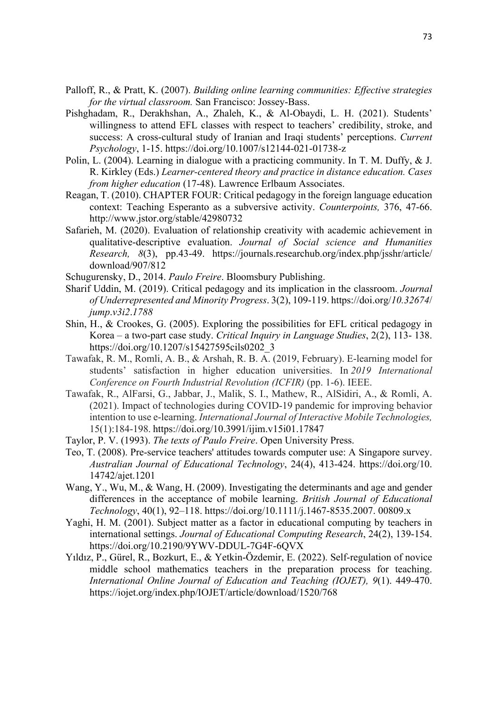- Palloff, R., & Pratt, K. (2007). *Building online learning communities: Effective strategies for the virtual classroom.* San Francisco: Jossey-Bass.
- Pishghadam, R., Derakhshan, A., Zhaleh, K., & Al-Obaydi, L. H. (2021). Students' willingness to attend EFL classes with respect to teachers' credibility, stroke, and success: A cross-cultural study of Iranian and Iraqi students' perceptions. *Current Psychology*, 1-15. https://doi.org/10.1007/s12144-021-01738-z
- Polin, L. (2004). Learning in dialogue with a practicing community. In T. M. Duffy, & J. R. Kirkley (Eds.) *Learner-centered theory and practice in distance education. Cases from higher education* (17-48). Lawrence Erlbaum Associates.
- Reagan, T. (2010). CHAPTER FOUR: Critical pedagogy in the foreign language education context: Teaching Esperanto as a subversive activity. *Counterpoints,* 376, 47-66. http://www.jstor.org/stable/42980732
- Safarieh, M. (2020). Evaluation of relationship creativity with academic achievement in qualitative-descriptive evaluation. *Journal of Social science and Humanities Research, 8*(3), pp.43-49. https://journals.researchub.org/index.php/jsshr/article/ download/907/812
- Schugurensky, D., 2014. *Paulo Freire*. Bloomsbury Publishing.
- Sharif Uddin, M. (2019). Critical pedagogy and its implication in the classroom. *Journal of Underrepresented and Minority Progress*. 3(2), 109-119. https://doi.org/*10.32674*/ *jump*.*v3i2*.*1788*
- Shin, H., & Crookes, G. (2005). Exploring the possibilities for EFL critical pedagogy in Korea – a two-part case study. *Critical Inquiry in Language Studies*, 2(2), 113- 138. https://doi.org/10.1207/s15427595cils0202\_3
- Tawafak, R. M., Romli, A. B., & Arshah, R. B. A. (2019, February). E-learning model for students' satisfaction in higher education universities. In *2019 International Conference on Fourth Industrial Revolution (ICFIR)* (pp. 1-6). IEEE.
- Tawafak, R., AlFarsi, G., Jabbar, J., Malik, S. I., Mathew, R., AlSidiri, A., & Romli, A. (2021). Impact of technologies during COVID-19 pandemic for improving behavior intention to use e-learning. *International Journal of Interactive Mobile Technologies,*  15(1):184-198. https://doi.org/10.3991/ijim.v15i01.17847
- Taylor, P. V. (1993). *The texts of Paulo Freire*. Open University Press.
- Teo, T. (2008). Pre-service teachers' attitudes towards computer use: A Singapore survey. *Australian Journal of Educational Technology*, 24(4), 413-424. https://doi.org/10. 14742/ajet.1201
- Wang, Y., Wu, M., & Wang, H. (2009). Investigating the determinants and age and gender differences in the acceptance of mobile learning. *British Journal of Educational Technology*, 40(1), 92–118. https://doi.org/10.1111/j.1467-8535.2007. 00809.x
- Yaghi, H. M. (2001). Subject matter as a factor in educational computing by teachers in international settings. *Journal of Educational Computing Research*, 24(2), 139-154. https://doi.org/10.2190/9YWV-DDUL-7G4F-6QVX
- Yıldız, P., Gürel, R., Bozkurt, E., & Yetkin-Özdemir, E. (2022). Self-regulation of novice middle school mathematics teachers in the preparation process for teaching. *International Online Journal of Education and Teaching (IOJET), 9*(1). 449-470. https://iojet.org/index.php/IOJET/article/download/1520/768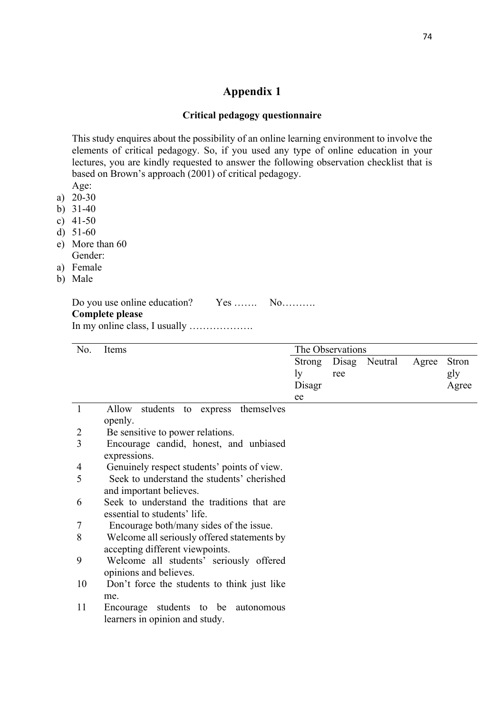# **Appendix 1**

#### **Critical pedagogy questionnaire**

This study enquires about the possibility of an online learning environment to involve the elements of critical pedagogy. So, if you used any type of online education in your lectures, you are kindly requested to answer the following observation checklist that is based on Brown's approach (2001) of critical pedagogy.

- Age:
- a) 20-30 b) 31-40
- 
- c) 41-50 d) 51-60
- 
- e) More than 60 Gender:
- a) Female
- b) Male

Do you use online education? Yes ……. No………. **Complete please** In my online class, I usually ……………….

| No.            | Items                                                                          |               | The Observations |         |       |       |
|----------------|--------------------------------------------------------------------------------|---------------|------------------|---------|-------|-------|
|                |                                                                                | <b>Strong</b> | Disag            | Neutral | Agree | Stron |
|                |                                                                                | ly            | ree              |         |       | gly   |
|                |                                                                                | Disagr        |                  |         |       | Agree |
|                |                                                                                | ee            |                  |         |       |       |
| $\mathbf{1}$   | Allow<br>students to<br>themselves<br>express<br>openly.                       |               |                  |         |       |       |
| $\overline{2}$ | Be sensitive to power relations.                                               |               |                  |         |       |       |
| 3              | Encourage candid, honest, and unbiased<br>expressions.                         |               |                  |         |       |       |
| 4              | Genuinely respect students' points of view.                                    |               |                  |         |       |       |
| 5              | Seek to understand the students' cherished<br>and important believes.          |               |                  |         |       |       |
| 6              | Seek to understand the traditions that are<br>essential to students' life.     |               |                  |         |       |       |
| 7              | Encourage both/many sides of the issue.                                        |               |                  |         |       |       |
| 8              | Welcome all seriously offered statements by<br>accepting different viewpoints. |               |                  |         |       |       |
| 9              | Welcome all students' seriously offered<br>opinions and believes.              |               |                  |         |       |       |
| 10             | Don't force the students to think just like<br>me.                             |               |                  |         |       |       |
| 11             | Encourage students to be<br>autonomous<br>learners in opinion and study.       |               |                  |         |       |       |